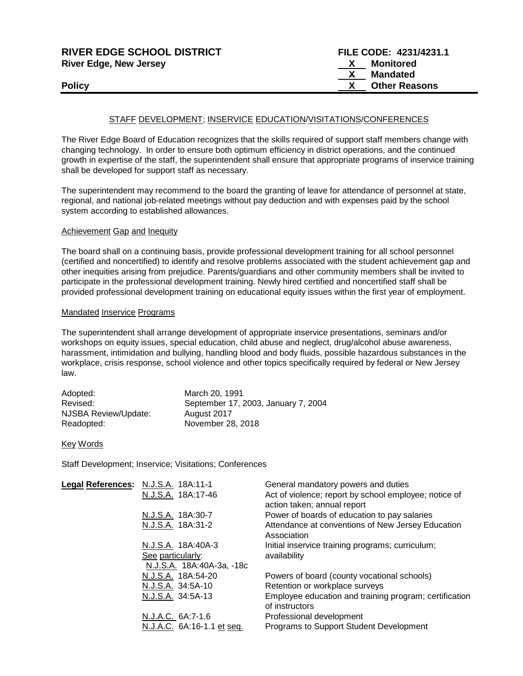| <b>RIVER EDGE SCHOOL DISTRICT</b> | FILE CODE: 4231/4231.1 |
|-----------------------------------|------------------------|
| <b>River Edge, New Jersey</b>     | Monitored              |
|                                   | Mandated               |
| <b>Policy</b>                     | <b>Other Reasons</b>   |
|                                   |                        |

### STAFF DEVELOPMENT; INSERVICE EDUCATION/VISITATIONS/CONFERENCES

The River Edge Board of Education recognizes that the skills required of support staff members change with changing technology. In order to ensure both optimum efficiency in district operations, and the continued growth in expertise of the staff, the superintendent shall ensure that appropriate programs of inservice training shall be developed for support staff as necessary.

The superintendent may recommend to the board the granting of leave for attendance of personnel at state, regional, and national job-related meetings without pay deduction and with expenses paid by the school system according to established allowances.

#### Achievement Gap and Inequity

The board shall on a continuing basis, provide professional development training for all school personnel (certified and noncertified) to identify and resolve problems associated with the student achievement gap and other inequities arising from prejudice. Parents/guardians and other community members shall be invited to participate in the professional development training. Newly hired certified and noncertified staff shall be provided professional development training on educational equity issues within the first year of employment.

## Mandated Inservice Programs

The superintendent shall arrange development of appropriate inservice presentations, seminars and/or workshops on equity issues, special education, child abuse and neglect, drug/alcohol abuse awareness, harassment, intimidation and bullying, handling blood and body fluids, possible hazardous substances in the workplace, crisis response, school violence and other topics specifically required by federal or New Jersey law.

| Adopted:             | March 20, 1991                      |
|----------------------|-------------------------------------|
| Revised:             | September 17, 2003, January 7, 2004 |
| NJSBA Review/Update: | August 2017                         |
| Readopted:           | November 28, 2018                   |

#### Key Words

Staff Development; Inservice; Visitations; Conferences

| Legal References: N.J.S.A. 18A:11-1 | N.J.S.A. 18A:17-46                             | General mandatory powers and duties<br>Act of violence; report by school employee; notice of<br>action taken; annual report |
|-------------------------------------|------------------------------------------------|-----------------------------------------------------------------------------------------------------------------------------|
|                                     | N.J.S.A. 18A:30-7                              | Power of boards of education to pay salaries                                                                                |
|                                     | N.J.S.A. 18A:31-2                              | Attendance at conventions of New Jersey Education<br>Association                                                            |
|                                     | N.J.S.A. 18A:40A-3                             | Initial inservice training programs; curriculum;                                                                            |
|                                     | See particularly:<br>N.J.S.A. 18A:40A-3a, -18c | availability                                                                                                                |
|                                     | N.J.S.A. 18A:54-20                             | Powers of board (county vocational schools)                                                                                 |
|                                     | N.J.S.A. 34:5A-10                              | Retention or workplace surveys                                                                                              |
|                                     | N.J.S.A. 34:5A-13                              | Employee education and training program; certification<br>of instructors                                                    |
|                                     | N.J.A.C. 6A:7-1.6                              | Professional development                                                                                                    |
|                                     | N.J.A.C. 6A:16-1.1 et seq.                     | Programs to Support Student Development                                                                                     |